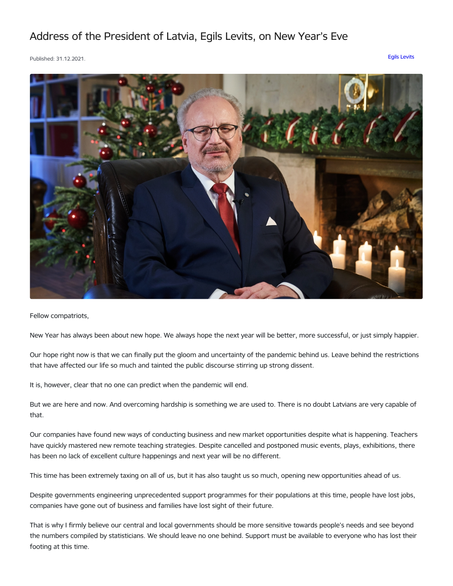## Address of the President of Latvia, Egils Levits, on New Year's Eve

Published: 31.12.2021. Egils [Levits](https://www.president.lv/en/articles?category%255B276%255D=276)



Fellow compatriots,

New Year has always been about new hope. We always hope the next year will be better, more successful, or just simply happier.

Our hope right now is that we can finally put the gloom and uncertainty of the pandemic behind us. Leave behind the restrictions that have affected our life so much and tainted the public discourse stirring up strong dissent.

It is, however, clear that no one can predict when the pandemic will end.

But we are here and now. And overcoming hardship is something we are used to. There is no doubt Latvians are very capable of that.

Our companies have found new ways of conducting business and new market opportunities despite what is happening. Teachers have quickly mastered new remote teaching strategies. Despite cancelled and postponed music events, plays, exhibitions, there has been no lack of excellent culture happenings and next year will be no different.

This time has been extremely taxing on all of us, but it has also taught us so much, opening new opportunities ahead of us.

Despite governments engineering unprecedented support programmes for their populations at this time, people have lost jobs, companies have gone out of business and families have lost sight of their future.

That is why I firmly believe our central and local governments should be more sensitive towards people's needs and see beyond the numbers compiled by statisticians. We should leave no one behind. Support must be available to everyone who has lost their footing at this time.